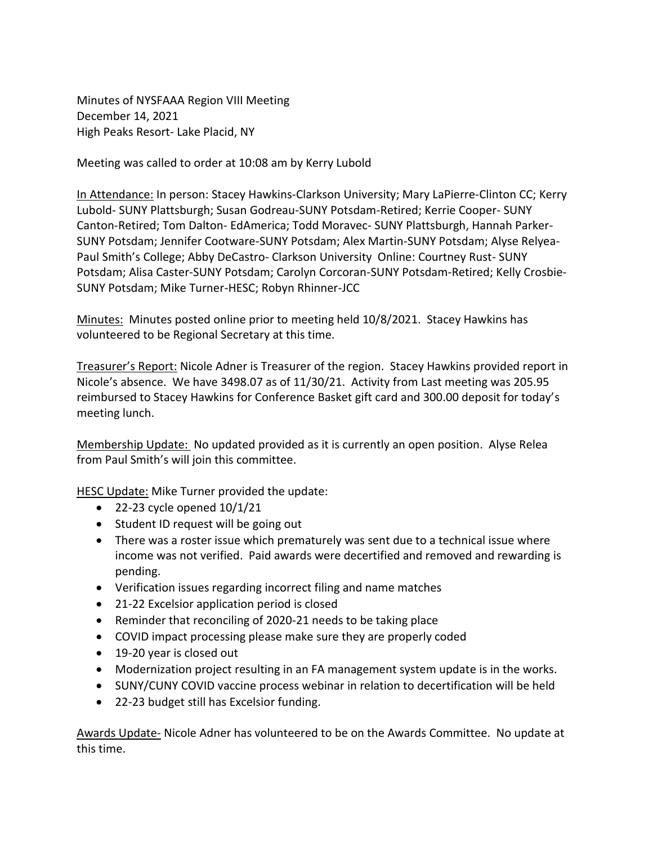Minutes of NYSFAAA Region VIII Meeting December 14, 2021 High Peaks Resort- Lake Placid, NY

Meeting was called to order at 10:08 am by Kerry Lubold

In Attendance: In person: Stacey Hawkins-Clarkson University; Mary LaPierre-Clinton CC; Kerry Lubold- SUNY Plattsburgh; Susan Godreau-SUNY Potsdam-Retired; Kerrie Cooper- SUNY Canton-Retired; Tom Dalton- EdAmerica; Todd Moravec- SUNY Plattsburgh, Hannah Parker-SUNY Potsdam; Jennifer Cootware-SUNY Potsdam; Alex Martin-SUNY Potsdam; Alyse Relyea-Paul Smith's College; Abby DeCastro- Clarkson University Online: Courtney Rust- SUNY Potsdam; Alisa Caster-SUNY Potsdam; Carolyn Corcoran-SUNY Potsdam-Retired; Kelly Crosbie-SUNY Potsdam; Mike Turner-HESC; Robyn Rhinner-JCC

Minutes: Minutes posted online prior to meeting held 10/8/2021. Stacey Hawkins has volunteered to be Regional Secretary at this time.

Treasurer's Report: Nicole Adner is Treasurer of the region. Stacey Hawkins provided report in Nicole's absence. We have 3498.07 as of 11/30/21. Activity from Last meeting was 205.95 reimbursed to Stacey Hawkins for Conference Basket gift card and 300.00 deposit for today's meeting lunch.

Membership Update: No updated provided as it is currently an open position. Alyse Relea from Paul Smith's will join this committee.

HESC Update: Mike Turner provided the update:

- $\bullet$  22-23 cycle opened  $10/1/21$
- Student ID request will be going out
- There was a roster issue which prematurely was sent due to a technical issue where income was not verified. Paid awards were decertified and removed and rewarding is pending.
- Verification issues regarding incorrect filing and name matches
- 21-22 Excelsior application period is closed
- Reminder that reconciling of 2020-21 needs to be taking place
- COVID impact processing please make sure they are properly coded
- 19-20 year is closed out
- Modernization project resulting in an FA management system update is in the works.
- SUNY/CUNY COVID vaccine process webinar in relation to decertification will be held
- 22-23 budget still has Excelsior funding.

Awards Update- Nicole Adner has volunteered to be on the Awards Committee. No update at this time.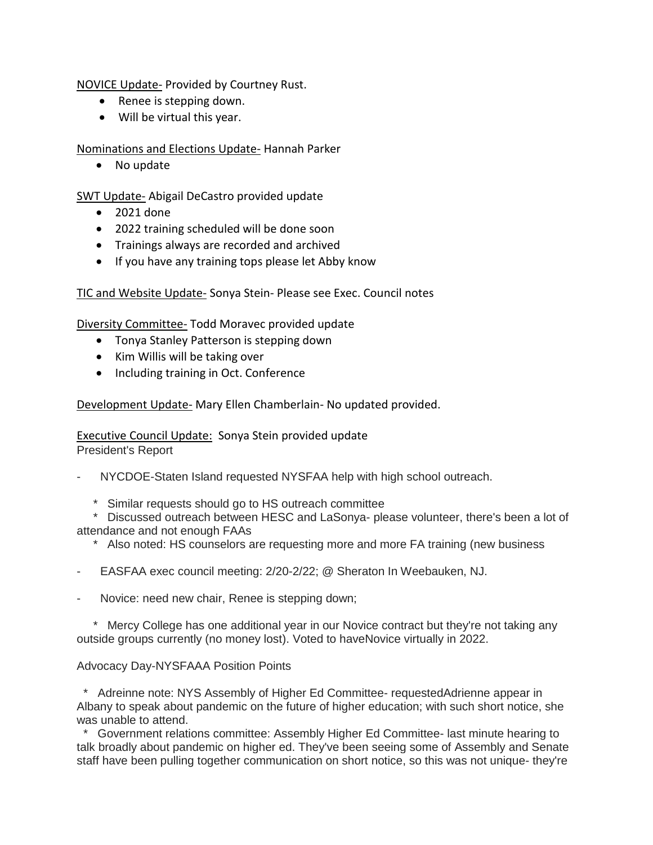NOVICE Update- Provided by Courtney Rust.

- Renee is stepping down.
- Will be virtual this year.

## Nominations and Elections Update- Hannah Parker

• No update

SWT Update- Abigail DeCastro provided update

- 2021 done
- 2022 training scheduled will be done soon
- Trainings always are recorded and archived
- If you have any training tops please let Abby know

TIC and Website Update- Sonya Stein- Please see Exec. Council notes

Diversity Committee- Todd Moravec provided update

- Tonya Stanley Patterson is stepping down
- Kim Willis will be taking over
- Including training in Oct. Conference

Development Update- Mary Ellen Chamberlain- No updated provided.

Executive Council Update: Sonya Stein provided update President's Report

- NYCDOE-Staten Island requested NYSFAA help with high school outreach.
	- \* Similar requests should go to HS outreach committee

\* Discussed outreach between HESC and LaSonya- please volunteer, there's been a lot of attendance and not enough FAAs

- \* Also noted: HS counselors are requesting more and more FA training (new business
- EASFAA exec council meeting: 2/20-2/22; @ Sheraton In Weebauken, NJ.
- Novice: need new chair, Renee is stepping down;

\* Mercy College has one additional year in our Novice contract but they're not taking any outside groups currently (no money lost). Voted to haveNovice virtually in 2022.

# Advocacy Day-NYSFAAA Position Points

\* Adreinne note: NYS Assembly of Higher Ed Committee- requestedAdrienne appear in Albany to speak about pandemic on the future of higher education; with such short notice, she was unable to attend.

\* Government relations committee: Assembly Higher Ed Committee- last minute hearing to talk broadly about pandemic on higher ed. They've been seeing some of Assembly and Senate staff have been pulling together communication on short notice, so this was not unique- they're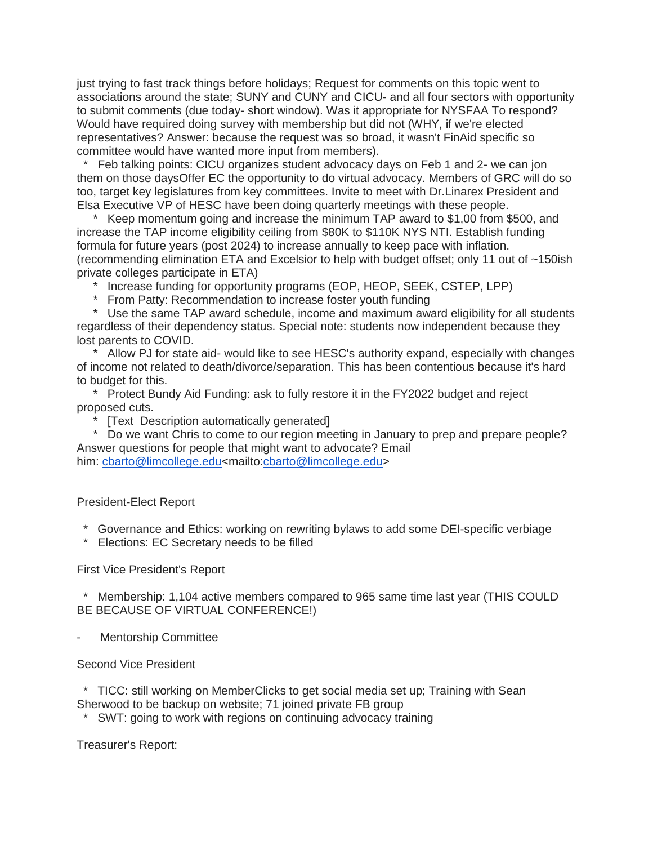just trying to fast track things before holidays; Request for comments on this topic went to associations around the state; SUNY and CUNY and CICU- and all four sectors with opportunity to submit comments (due today- short window). Was it appropriate for NYSFAA To respond? Would have required doing survey with membership but did not (WHY, if we're elected representatives? Answer: because the request was so broad, it wasn't FinAid specific so committee would have wanted more input from members).

Feb talking points: CICU organizes student advocacy days on Feb 1 and 2- we can jon them on those daysOffer EC the opportunity to do virtual advocacy. Members of GRC will do so too, target key legislatures from key committees. Invite to meet with Dr.Linarex President and Elsa Executive VP of HESC have been doing quarterly meetings with these people.

\* Keep momentum going and increase the minimum TAP award to \$1,00 from \$500, and increase the TAP income eligibility ceiling from \$80K to \$110K NYS NTI. Establish funding formula for future years (post 2024) to increase annually to keep pace with inflation. (recommending elimination ETA and Excelsior to help with budget offset; only 11 out of ~150ish private colleges participate in ETA)

- \* Increase funding for opportunity programs (EOP, HEOP, SEEK, CSTEP, LPP)
- From Patty: Recommendation to increase foster youth funding

\* Use the same TAP award schedule, income and maximum award eligibility for all students regardless of their dependency status. Special note: students now independent because they lost parents to COVID.

\* Allow PJ for state aid- would like to see HESC's authority expand, especially with changes of income not related to death/divorce/separation. This has been contentious because it's hard to budget for this.

\* Protect Bundy Aid Funding: ask to fully restore it in the FY2022 budget and reject proposed cuts.

- [Text Description automatically generated]
- Do we want Chris to come to our region meeting in January to prep and prepare people? Answer questions for people that might want to advocate? Email

him: [cbarto@limcollege.edu<](mailto:cbarto@limcollege.edu)mailto[:cbarto@limcollege.edu>](mailto:cbarto@limcollege.edu)

President-Elect Report

- \* Governance and Ethics: working on rewriting bylaws to add some DEI-specific verbiage
- \* Elections: EC Secretary needs to be filled

First Vice President's Report

\* Membership: 1,104 active members compared to 965 same time last year (THIS COULD BE BECAUSE OF VIRTUAL CONFERENCE!)

Mentorship Committee

Second Vice President

\* TICC: still working on MemberClicks to get social media set up; Training with Sean Sherwood to be backup on website; 71 joined private FB group

SWT: going to work with regions on continuing advocacy training

Treasurer's Report: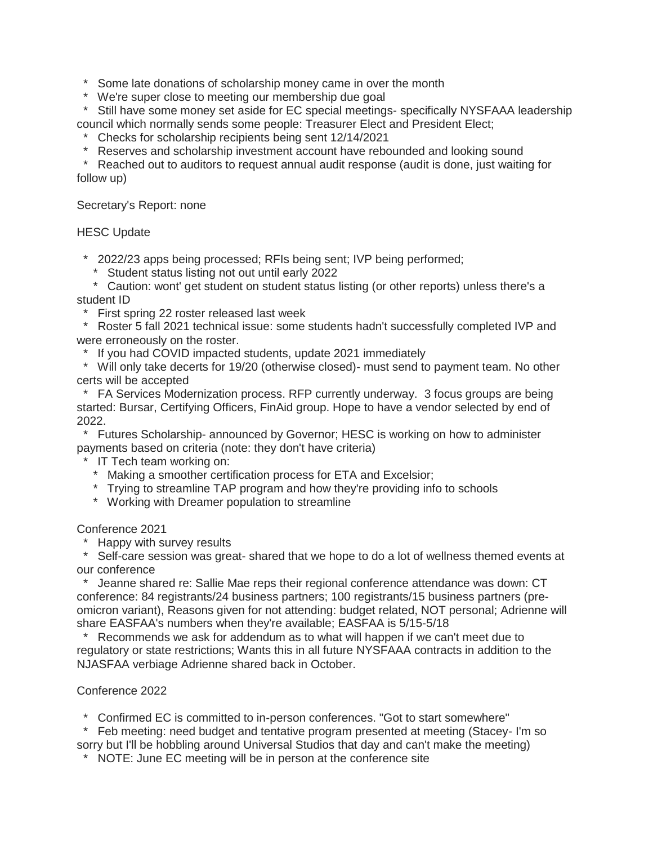\* Some late donations of scholarship money came in over the month

\* We're super close to meeting our membership due goal

\* Still have some money set aside for EC special meetings- specifically NYSFAAA leadership council which normally sends some people: Treasurer Elect and President Elect;

\* Checks for scholarship recipients being sent 12/14/2021

\* Reserves and scholarship investment account have rebounded and looking sound

\* Reached out to auditors to request annual audit response (audit is done, just waiting for follow up)

Secretary's Report: none

### HESC Update

\* 2022/23 apps being processed; RFIs being sent; IVP being performed;

\* Student status listing not out until early 2022

\* Caution: wont' get student on student status listing (or other reports) unless there's a student ID

\* First spring 22 roster released last week

\* Roster 5 fall 2021 technical issue: some students hadn't successfully completed IVP and were erroneously on the roster.

\* If you had COVID impacted students, update 2021 immediately

\* Will only take decerts for 19/20 (otherwise closed)- must send to payment team. No other certs will be accepted

\* FA Services Modernization process. RFP currently underway. 3 focus groups are being started: Bursar, Certifying Officers, FinAid group. Hope to have a vendor selected by end of 2022.

\* Futures Scholarship- announced by Governor; HESC is working on how to administer payments based on criteria (note: they don't have criteria)

\* IT Tech team working on:

\* Making a smoother certification process for ETA and Excelsior;

\* Trying to streamline TAP program and how they're providing info to schools

\* Working with Dreamer population to streamline

Conference 2021

**Happy with survey results** 

\* Self-care session was great- shared that we hope to do a lot of wellness themed events at our conference

\* Jeanne shared re: Sallie Mae reps their regional conference attendance was down: CT conference: 84 registrants/24 business partners; 100 registrants/15 business partners (preomicron variant), Reasons given for not attending: budget related, NOT personal; Adrienne will share EASFAA's numbers when they're available; EASFAA is 5/15-5/18

\* Recommends we ask for addendum as to what will happen if we can't meet due to regulatory or state restrictions; Wants this in all future NYSFAAA contracts in addition to the NJASFAA verbiage Adrienne shared back in October.

## Conference 2022

\* Confirmed EC is committed to in-person conferences. "Got to start somewhere"

\* Feb meeting: need budget and tentative program presented at meeting (Stacey- I'm so sorry but I'll be hobbling around Universal Studios that day and can't make the meeting)

\* NOTE: June EC meeting will be in person at the conference site